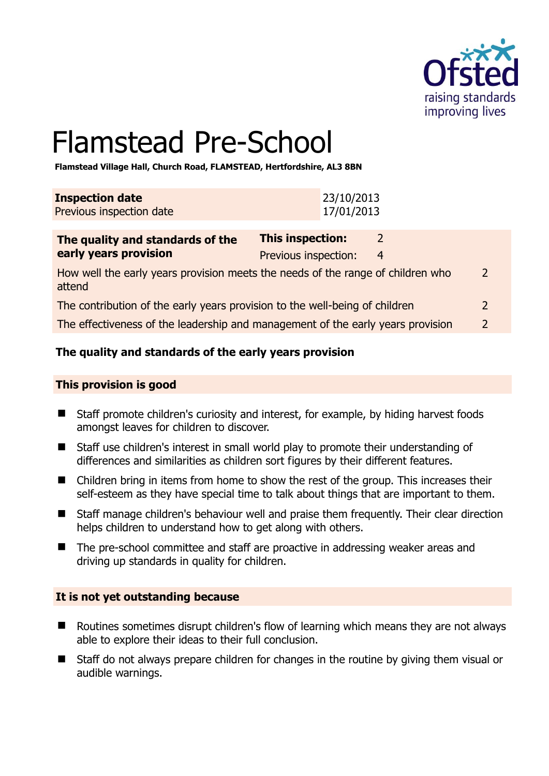

# Flamstead Pre-School

**Flamstead Village Hall, Church Road, FLAMSTEAD, Hertfordshire, AL3 8BN** 

| <b>Inspection date</b>          | 23/10/2013 |
|---------------------------------|------------|
| <b>Previous inspection date</b> | 17/01/2013 |

| The quality and standards of the                                                          | This inspection:     |                |   |
|-------------------------------------------------------------------------------------------|----------------------|----------------|---|
| early years provision                                                                     | Previous inspection: | $\overline{4}$ |   |
| How well the early years provision meets the needs of the range of children who<br>attend |                      |                | 2 |
| The contribution of the early years provision to the well-being of children               |                      |                |   |
| The effectiveness of the leadership and management of the early years provision           |                      |                | 2 |

# **The quality and standards of the early years provision**

#### **This provision is good**

- Staff promote children's curiosity and interest, for example, by hiding harvest foods amongst leaves for children to discover.
- Staff use children's interest in small world play to promote their understanding of differences and similarities as children sort figures by their different features.
- Children bring in items from home to show the rest of the group. This increases their self-esteem as they have special time to talk about things that are important to them.
- Staff manage children's behaviour well and praise them frequently. Their clear direction helps children to understand how to get along with others.
- The pre-school committee and staff are proactive in addressing weaker areas and driving up standards in quality for children.

#### **It is not yet outstanding because**

- Routines sometimes disrupt children's flow of learning which means they are not always able to explore their ideas to their full conclusion.
- Staff do not always prepare children for changes in the routine by giving them visual or audible warnings.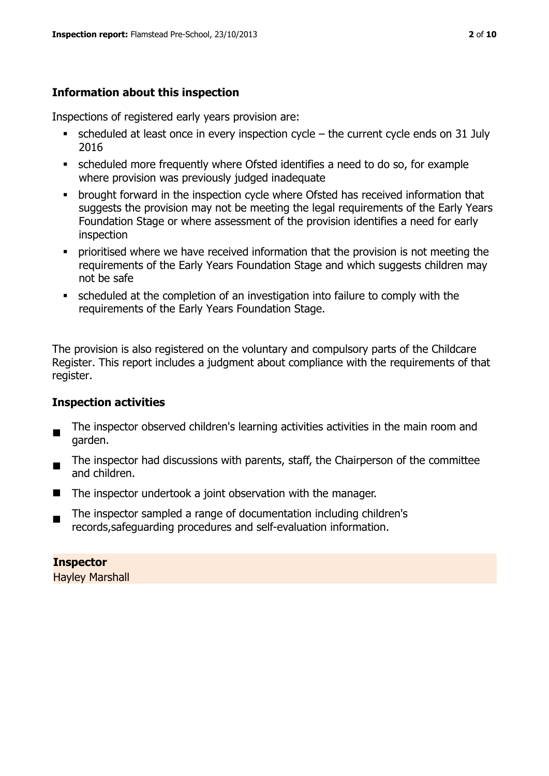# **Information about this inspection**

Inspections of registered early years provision are:

- $\blacksquare$  scheduled at least once in every inspection cycle the current cycle ends on 31 July 2016
- scheduled more frequently where Ofsted identifies a need to do so, for example where provision was previously judged inadequate
- **•** brought forward in the inspection cycle where Ofsted has received information that suggests the provision may not be meeting the legal requirements of the Early Years Foundation Stage or where assessment of the provision identifies a need for early inspection
- **•** prioritised where we have received information that the provision is not meeting the requirements of the Early Years Foundation Stage and which suggests children may not be safe
- scheduled at the completion of an investigation into failure to comply with the requirements of the Early Years Foundation Stage.

The provision is also registered on the voluntary and compulsory parts of the Childcare Register. This report includes a judgment about compliance with the requirements of that register.

# **Inspection activities**

- $\blacksquare$ The inspector observed children's learning activities activities in the main room and garden.
- The inspector had discussions with parents, staff, the Chairperson of the committee and children.
- $\blacksquare$  The inspector undertook a joint observation with the manager.
- The inspector sampled a range of documentation including children's records,safeguarding procedures and self-evaluation information.

#### **Inspector**

Hayley Marshall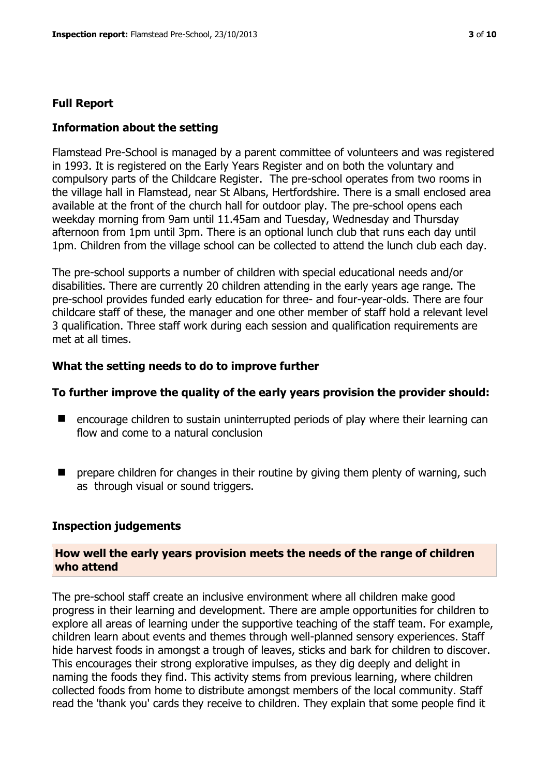#### **Full Report**

#### **Information about the setting**

Flamstead Pre-School is managed by a parent committee of volunteers and was registered in 1993. It is registered on the Early Years Register and on both the voluntary and compulsory parts of the Childcare Register. The pre-school operates from two rooms in the village hall in Flamstead, near St Albans, Hertfordshire. There is a small enclosed area available at the front of the church hall for outdoor play. The pre-school opens each weekday morning from 9am until 11.45am and Tuesday, Wednesday and Thursday afternoon from 1pm until 3pm. There is an optional lunch club that runs each day until 1pm. Children from the village school can be collected to attend the lunch club each day.

The pre-school supports a number of children with special educational needs and/or disabilities. There are currently 20 children attending in the early years age range. The pre-school provides funded early education for three- and four-year-olds. There are four childcare staff of these, the manager and one other member of staff hold a relevant level 3 qualification. Three staff work during each session and qualification requirements are met at all times.

#### **What the setting needs to do to improve further**

#### **To further improve the quality of the early years provision the provider should:**

- encourage children to sustain uninterrupted periods of play where their learning can flow and come to a natural conclusion
- $\blacksquare$  prepare children for changes in their routine by giving them plenty of warning, such as through visual or sound triggers.

#### **Inspection judgements**

#### **How well the early years provision meets the needs of the range of children who attend**

The pre-school staff create an inclusive environment where all children make good progress in their learning and development. There are ample opportunities for children to explore all areas of learning under the supportive teaching of the staff team. For example, children learn about events and themes through well-planned sensory experiences. Staff hide harvest foods in amongst a trough of leaves, sticks and bark for children to discover. This encourages their strong explorative impulses, as they dig deeply and delight in naming the foods they find. This activity stems from previous learning, where children collected foods from home to distribute amongst members of the local community. Staff read the 'thank you' cards they receive to children. They explain that some people find it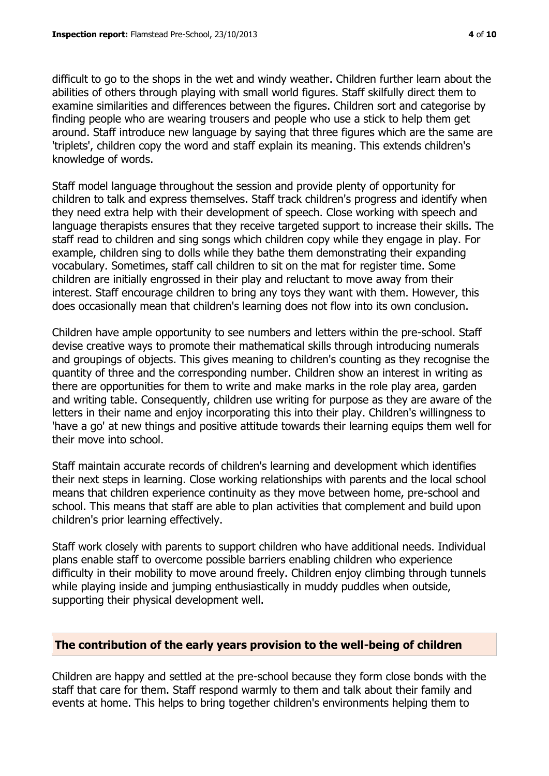difficult to go to the shops in the wet and windy weather. Children further learn about the abilities of others through playing with small world figures. Staff skilfully direct them to examine similarities and differences between the figures. Children sort and categorise by finding people who are wearing trousers and people who use a stick to help them get around. Staff introduce new language by saying that three figures which are the same are 'triplets', children copy the word and staff explain its meaning. This extends children's knowledge of words.

Staff model language throughout the session and provide plenty of opportunity for children to talk and express themselves. Staff track children's progress and identify when they need extra help with their development of speech. Close working with speech and language therapists ensures that they receive targeted support to increase their skills. The staff read to children and sing songs which children copy while they engage in play. For example, children sing to dolls while they bathe them demonstrating their expanding vocabulary. Sometimes, staff call children to sit on the mat for register time. Some children are initially engrossed in their play and reluctant to move away from their interest. Staff encourage children to bring any toys they want with them. However, this does occasionally mean that children's learning does not flow into its own conclusion.

Children have ample opportunity to see numbers and letters within the pre-school. Staff devise creative ways to promote their mathematical skills through introducing numerals and groupings of objects. This gives meaning to children's counting as they recognise the quantity of three and the corresponding number. Children show an interest in writing as there are opportunities for them to write and make marks in the role play area, garden and writing table. Consequently, children use writing for purpose as they are aware of the letters in their name and enjoy incorporating this into their play. Children's willingness to 'have a go' at new things and positive attitude towards their learning equips them well for their move into school.

Staff maintain accurate records of children's learning and development which identifies their next steps in learning. Close working relationships with parents and the local school means that children experience continuity as they move between home, pre-school and school. This means that staff are able to plan activities that complement and build upon children's prior learning effectively.

Staff work closely with parents to support children who have additional needs. Individual plans enable staff to overcome possible barriers enabling children who experience difficulty in their mobility to move around freely. Children enjoy climbing through tunnels while playing inside and jumping enthusiastically in muddy puddles when outside, supporting their physical development well.

#### **The contribution of the early years provision to the well-being of children**

Children are happy and settled at the pre-school because they form close bonds with the staff that care for them. Staff respond warmly to them and talk about their family and events at home. This helps to bring together children's environments helping them to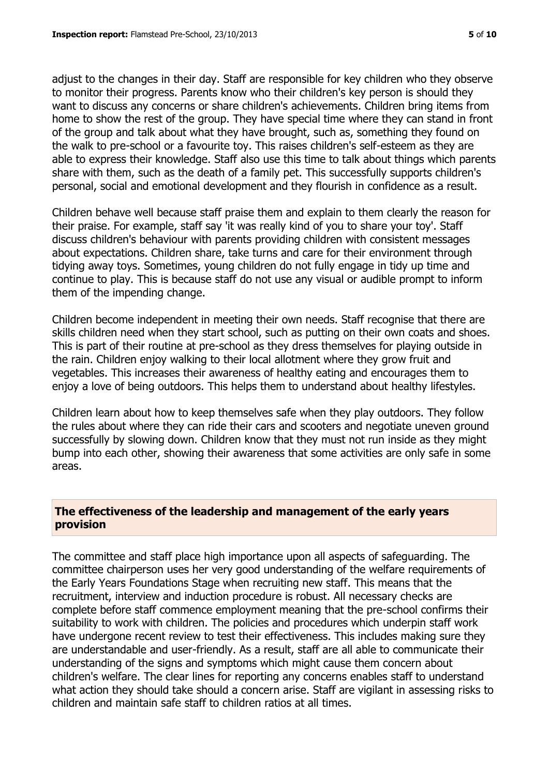adjust to the changes in their day. Staff are responsible for key children who they observe to monitor their progress. Parents know who their children's key person is should they want to discuss any concerns or share children's achievements. Children bring items from home to show the rest of the group. They have special time where they can stand in front of the group and talk about what they have brought, such as, something they found on the walk to pre-school or a favourite toy. This raises children's self-esteem as they are able to express their knowledge. Staff also use this time to talk about things which parents share with them, such as the death of a family pet. This successfully supports children's personal, social and emotional development and they flourish in confidence as a result.

Children behave well because staff praise them and explain to them clearly the reason for their praise. For example, staff say 'it was really kind of you to share your toy'. Staff discuss children's behaviour with parents providing children with consistent messages about expectations. Children share, take turns and care for their environment through tidying away toys. Sometimes, young children do not fully engage in tidy up time and continue to play. This is because staff do not use any visual or audible prompt to inform them of the impending change.

Children become independent in meeting their own needs. Staff recognise that there are skills children need when they start school, such as putting on their own coats and shoes. This is part of their routine at pre-school as they dress themselves for playing outside in the rain. Children enjoy walking to their local allotment where they grow fruit and vegetables. This increases their awareness of healthy eating and encourages them to enjoy a love of being outdoors. This helps them to understand about healthy lifestyles.

Children learn about how to keep themselves safe when they play outdoors. They follow the rules about where they can ride their cars and scooters and negotiate uneven ground successfully by slowing down. Children know that they must not run inside as they might bump into each other, showing their awareness that some activities are only safe in some areas.

#### **The effectiveness of the leadership and management of the early years provision**

The committee and staff place high importance upon all aspects of safeguarding. The committee chairperson uses her very good understanding of the welfare requirements of the Early Years Foundations Stage when recruiting new staff. This means that the recruitment, interview and induction procedure is robust. All necessary checks are complete before staff commence employment meaning that the pre-school confirms their suitability to work with children. The policies and procedures which underpin staff work have undergone recent review to test their effectiveness. This includes making sure they are understandable and user-friendly. As a result, staff are all able to communicate their understanding of the signs and symptoms which might cause them concern about children's welfare. The clear lines for reporting any concerns enables staff to understand what action they should take should a concern arise. Staff are vigilant in assessing risks to children and maintain safe staff to children ratios at all times.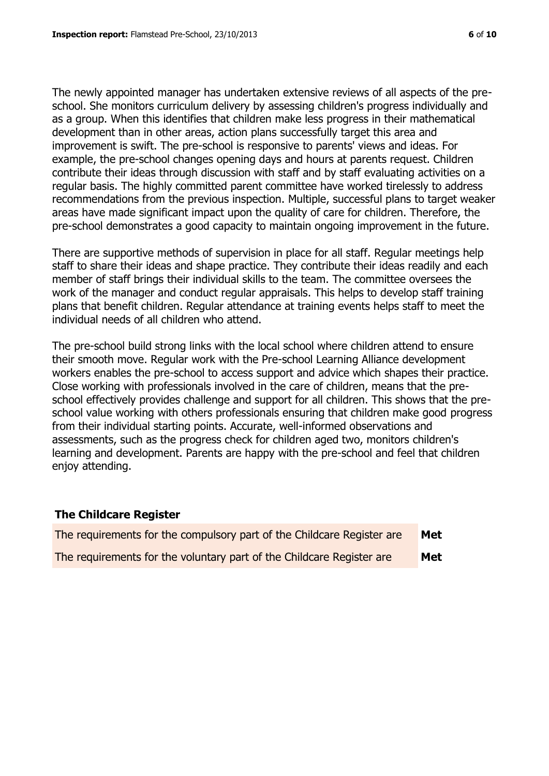The newly appointed manager has undertaken extensive reviews of all aspects of the preschool. She monitors curriculum delivery by assessing children's progress individually and as a group. When this identifies that children make less progress in their mathematical development than in other areas, action plans successfully target this area and improvement is swift. The pre-school is responsive to parents' views and ideas. For example, the pre-school changes opening days and hours at parents request. Children contribute their ideas through discussion with staff and by staff evaluating activities on a regular basis. The highly committed parent committee have worked tirelessly to address recommendations from the previous inspection. Multiple, successful plans to target weaker areas have made significant impact upon the quality of care for children. Therefore, the pre-school demonstrates a good capacity to maintain ongoing improvement in the future.

There are supportive methods of supervision in place for all staff. Regular meetings help staff to share their ideas and shape practice. They contribute their ideas readily and each member of staff brings their individual skills to the team. The committee oversees the work of the manager and conduct regular appraisals. This helps to develop staff training plans that benefit children. Regular attendance at training events helps staff to meet the individual needs of all children who attend.

The pre-school build strong links with the local school where children attend to ensure their smooth move. Regular work with the Pre-school Learning Alliance development workers enables the pre-school to access support and advice which shapes their practice. Close working with professionals involved in the care of children, means that the preschool effectively provides challenge and support for all children. This shows that the preschool value working with others professionals ensuring that children make good progress from their individual starting points. Accurate, well-informed observations and assessments, such as the progress check for children aged two, monitors children's learning and development. Parents are happy with the pre-school and feel that children enjoy attending.

#### **The Childcare Register**

| The requirements for the compulsory part of the Childcare Register are | Met |
|------------------------------------------------------------------------|-----|
| The requirements for the voluntary part of the Childcare Register are  | Met |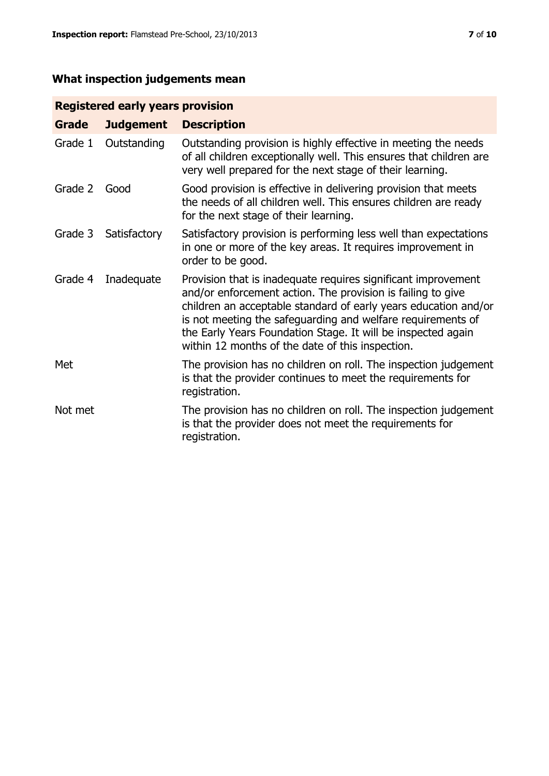# **What inspection judgements mean**

# **Registered early years provision**

| Grade   | <b>Judgement</b> | <b>Description</b>                                                                                                                                                                                                                                                                                                                                                                 |
|---------|------------------|------------------------------------------------------------------------------------------------------------------------------------------------------------------------------------------------------------------------------------------------------------------------------------------------------------------------------------------------------------------------------------|
| Grade 1 | Outstanding      | Outstanding provision is highly effective in meeting the needs<br>of all children exceptionally well. This ensures that children are<br>very well prepared for the next stage of their learning.                                                                                                                                                                                   |
| Grade 2 | Good             | Good provision is effective in delivering provision that meets<br>the needs of all children well. This ensures children are ready<br>for the next stage of their learning.                                                                                                                                                                                                         |
| Grade 3 | Satisfactory     | Satisfactory provision is performing less well than expectations<br>in one or more of the key areas. It requires improvement in<br>order to be good.                                                                                                                                                                                                                               |
| Grade 4 | Inadequate       | Provision that is inadequate requires significant improvement<br>and/or enforcement action. The provision is failing to give<br>children an acceptable standard of early years education and/or<br>is not meeting the safeguarding and welfare requirements of<br>the Early Years Foundation Stage. It will be inspected again<br>within 12 months of the date of this inspection. |
| Met     |                  | The provision has no children on roll. The inspection judgement<br>is that the provider continues to meet the requirements for<br>registration.                                                                                                                                                                                                                                    |
| Not met |                  | The provision has no children on roll. The inspection judgement<br>is that the provider does not meet the requirements for<br>registration.                                                                                                                                                                                                                                        |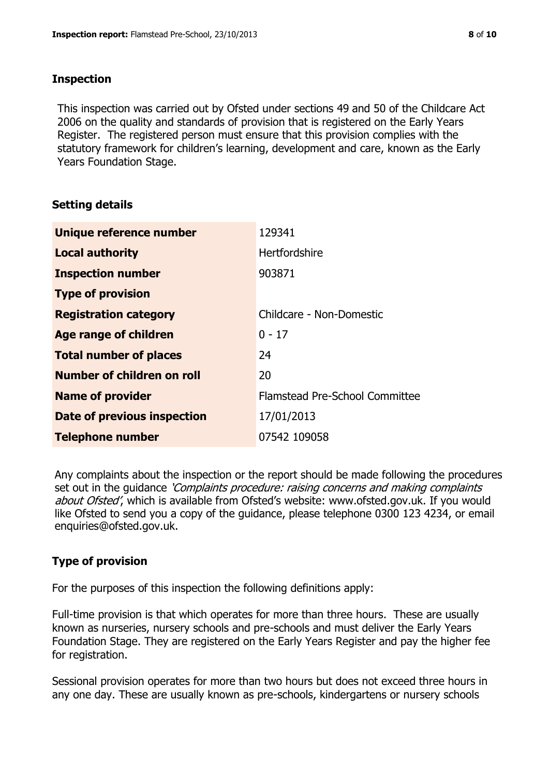### **Inspection**

This inspection was carried out by Ofsted under sections 49 and 50 of the Childcare Act 2006 on the quality and standards of provision that is registered on the Early Years Register. The registered person must ensure that this provision complies with the statutory framework for children's learning, development and care, known as the Early Years Foundation Stage.

# **Setting details**

| Unique reference number            | 129341                         |
|------------------------------------|--------------------------------|
| <b>Local authority</b>             | <b>Hertfordshire</b>           |
| <b>Inspection number</b>           | 903871                         |
| <b>Type of provision</b>           |                                |
| <b>Registration category</b>       | Childcare - Non-Domestic       |
| Age range of children              | $0 - 17$                       |
| <b>Total number of places</b>      | 24                             |
| Number of children on roll         | 20                             |
| <b>Name of provider</b>            | Flamstead Pre-School Committee |
| <b>Date of previous inspection</b> | 17/01/2013                     |
| <b>Telephone number</b>            | 07542 109058                   |

Any complaints about the inspection or the report should be made following the procedures set out in the guidance *'Complaints procedure: raising concerns and making complaints* about Ofsted', which is available from Ofsted's website: www.ofsted.gov.uk. If you would like Ofsted to send you a copy of the guidance, please telephone 0300 123 4234, or email enquiries@ofsted.gov.uk.

# **Type of provision**

For the purposes of this inspection the following definitions apply:

Full-time provision is that which operates for more than three hours. These are usually known as nurseries, nursery schools and pre-schools and must deliver the Early Years Foundation Stage. They are registered on the Early Years Register and pay the higher fee for registration.

Sessional provision operates for more than two hours but does not exceed three hours in any one day. These are usually known as pre-schools, kindergartens or nursery schools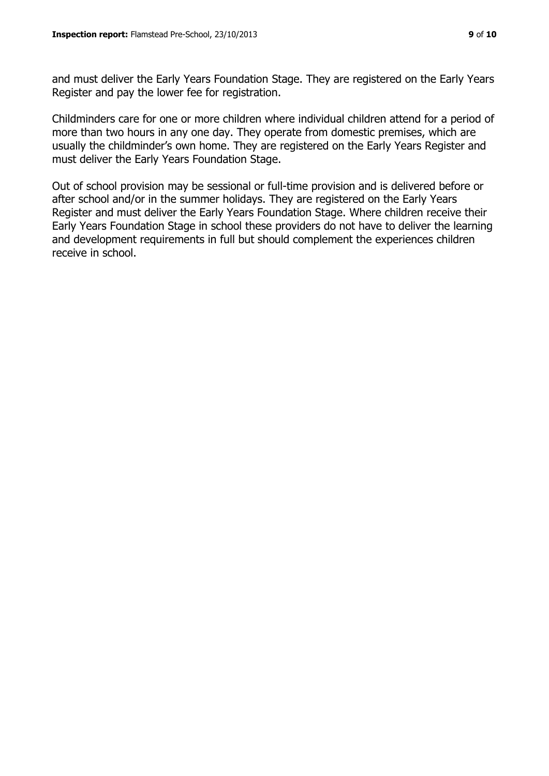and must deliver the Early Years Foundation Stage. They are registered on the Early Years Register and pay the lower fee for registration.

Childminders care for one or more children where individual children attend for a period of more than two hours in any one day. They operate from domestic premises, which are usually the childminder's own home. They are registered on the Early Years Register and must deliver the Early Years Foundation Stage.

Out of school provision may be sessional or full-time provision and is delivered before or after school and/or in the summer holidays. They are registered on the Early Years Register and must deliver the Early Years Foundation Stage. Where children receive their Early Years Foundation Stage in school these providers do not have to deliver the learning and development requirements in full but should complement the experiences children receive in school.